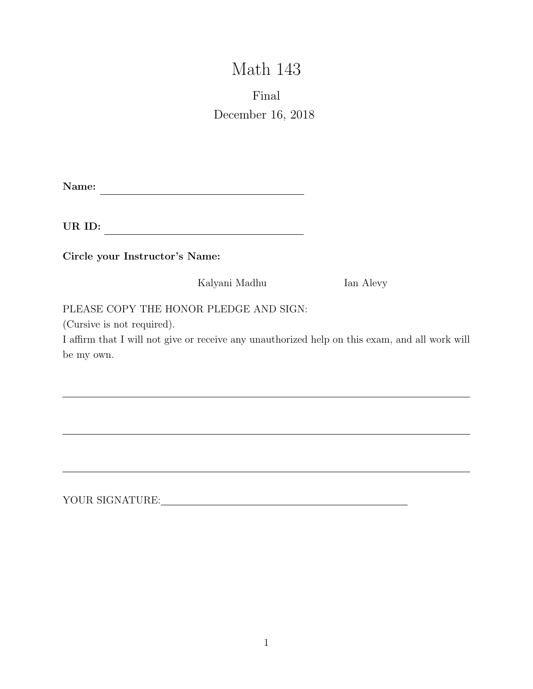# Math 143

# Final December 16, 2018

Name:

UR ID:

Circle your Instructor's Name:

Kalyani Madhu Ian Alevy

PLEASE COPY THE HONOR PLEDGE AND SIGN:

(Cursive is not required).

I affirm that I will not give or receive any unauthorized help on this exam, and all work will be my own.

YOUR SIGNATURE: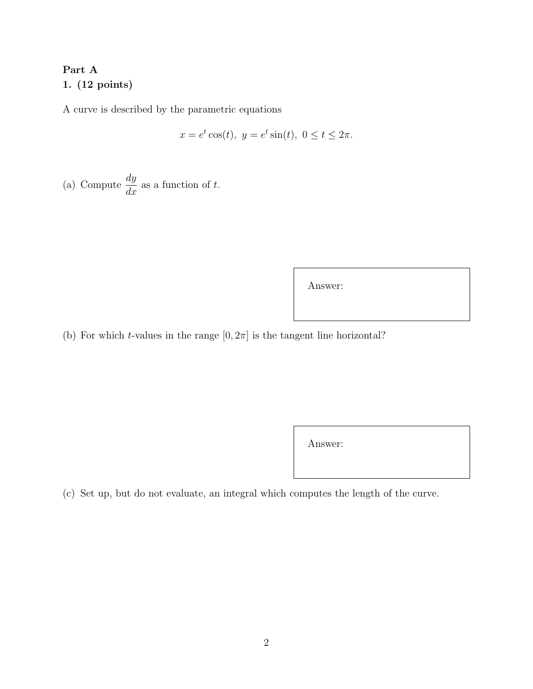## Part A 1. (12 points)

A curve is described by the parametric equations

 $x = e^t \cos(t), \ y = e^t \sin(t), \ 0 \le t \le 2\pi.$ 

(a) Compute  $\frac{dy}{dx}$  $\frac{dy}{dx}$  as a function of t.

Answer:

(b) For which t-values in the range  $[0, 2\pi]$  is the tangent line horizontal?

Answer:

(c) Set up, but do not evaluate, an integral which computes the length of the curve.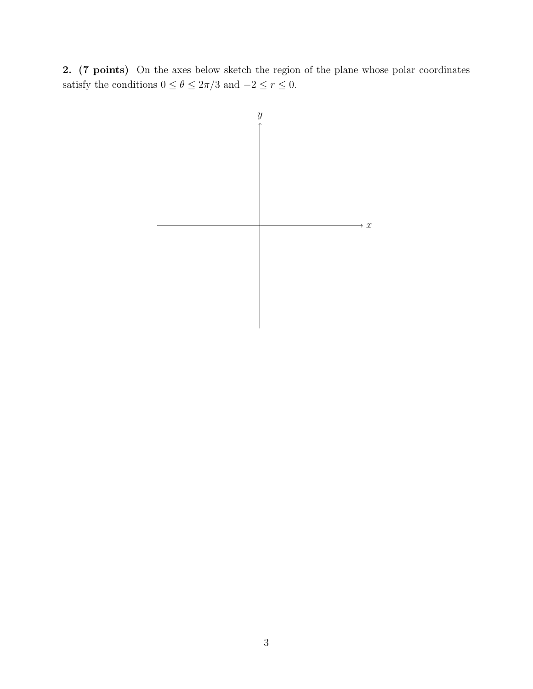2. (7 points) On the axes below sketch the region of the plane whose polar coordinates satisfy the conditions  $0 \le \theta \le 2\pi/3$  and  $-2 \le r \le 0$ .

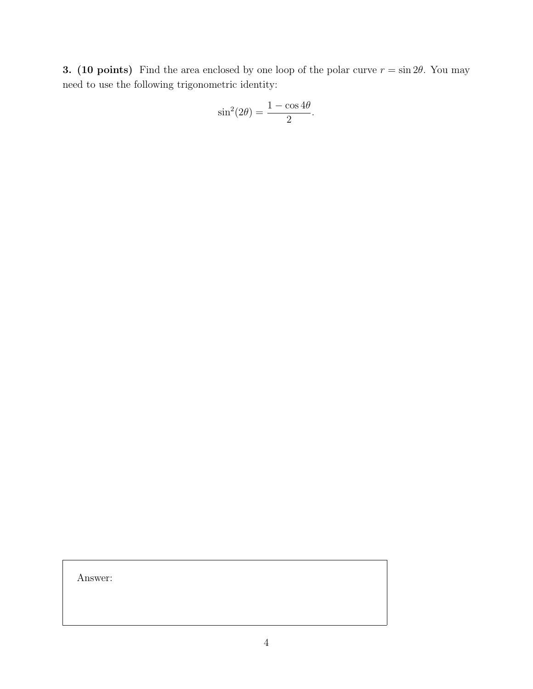3. (10 points) Find the area enclosed by one loop of the polar curve  $r = \sin 2\theta$ . You may need to use the following trigonometric identity:

$$
\sin^2(2\theta) = \frac{1 - \cos 4\theta}{2}.
$$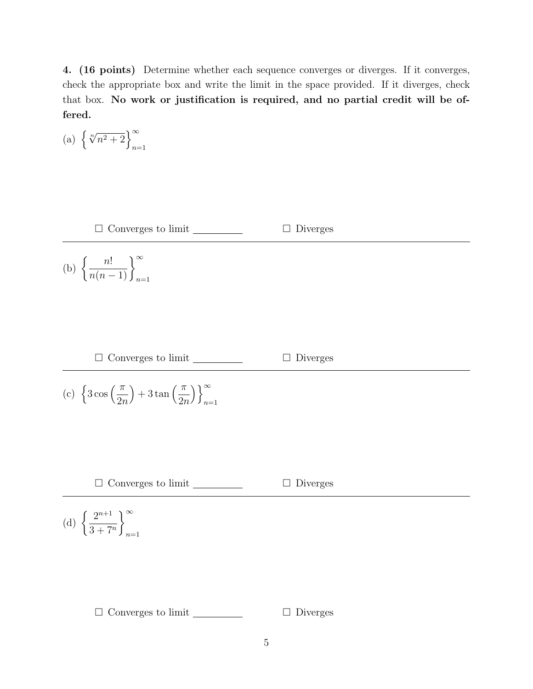4. (16 points) Determine whether each sequence converges or diverges. If it converges, check the appropriate box and write the limit in the space provided. If it diverges, check that box. No work or justification is required, and no partial credit will be offered.

(a) 
$$
\left\{ \sqrt[n]{n^2 + 2} \right\}_{n=1}^{\infty}
$$

| □ Converges to limit                                                                                              | □ Diverges |
|-------------------------------------------------------------------------------------------------------------------|------------|
| (b) $\left\{ \frac{n!}{n(n-1)} \right\}_{n=1}^{\infty}$                                                           | □ Diverges |
| (c) $\left\{ 3 \cos \left( \frac{\pi}{2n} \right) + 3 \tan \left( \frac{\pi}{2n} \right) \right\}_{n=1}^{\infty}$ | □ Diverges |
| (d) $\left\{ \frac{2^{n+1}}{3+7^n} \right\}_{n=1}^{\infty}$                                                       | □ Diverges |
| (e) $\left\{ 3 \cos \left( \frac{\pi}{2n} \right) + 3 \tan \left( \frac{\pi}{2n} \right) \right\}_{n=1}^{\infty}$ | □ Diverges |
| (f) $\left\{ 3 \left( \frac{2^{n+1}}{3+7^n} \right) \right\}_{n=1}^{\infty}$                                      | □ Diverges |
| □ Converges to limit                                                                                              | □ Diverges |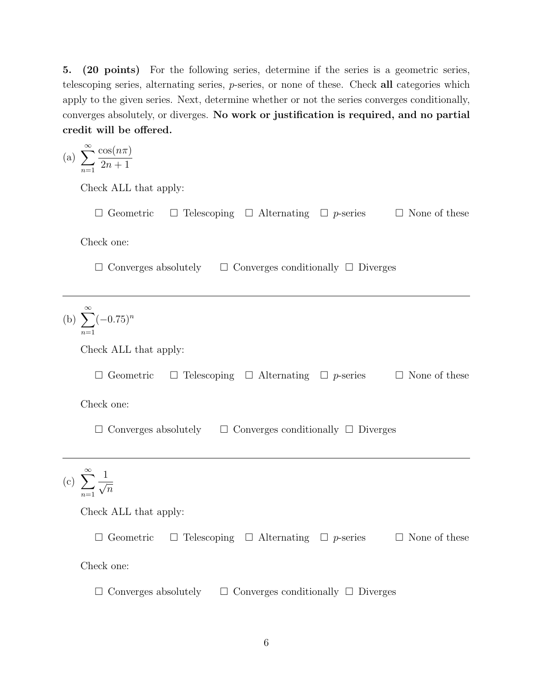5. (20 points) For the following series, determine if the series is a geometric series, telescoping series, alternating series, p-series, or none of these. Check all categories which apply to the given series. Next, determine whether or not the series converges conditionally, converges absolutely, or diverges. No work or justification is required, and no partial credit will be offered.

(a) 
$$
\sum_{n=1}^{\infty} \frac{\cos(n\pi)}{2n+1}
$$

Check ALL that apply:

 $\Box$  Geometric  $\Box$  Telescoping  $\Box$  Alternating  $\Box$  p-series  $\Box$  None of these

Check one:

 $\Box$  Converges absolutely  $\Box$  Converges conditionally  $\Box$  Diverges

(b) 
$$
\sum_{n=1}^{\infty} (-0.75)^n
$$

Check ALL that apply:

| $\Box$ Geometric $\Box$ Telescoping $\Box$ Alternating $\Box$ <i>p</i> -series |  | $\Box$ None of these |
|--------------------------------------------------------------------------------|--|----------------------|
|                                                                                |  |                      |

Check one:

 $\Box$  Converges absolutely  $\Box$  Converges conditionally  $\Box$  Diverges

(c) 
$$
\sum_{n=1}^{\infty} \frac{1}{\sqrt{n}}
$$

Check ALL that apply:

 $\Box$  Geometric  $\Box$  Telescoping  $\Box$  Alternating  $\Box$  *p*-series  $\Box$  None of these

Check one:

 $\Box$  Converges absolutely  $\Box$  Converges conditionally  $\Box$  Diverges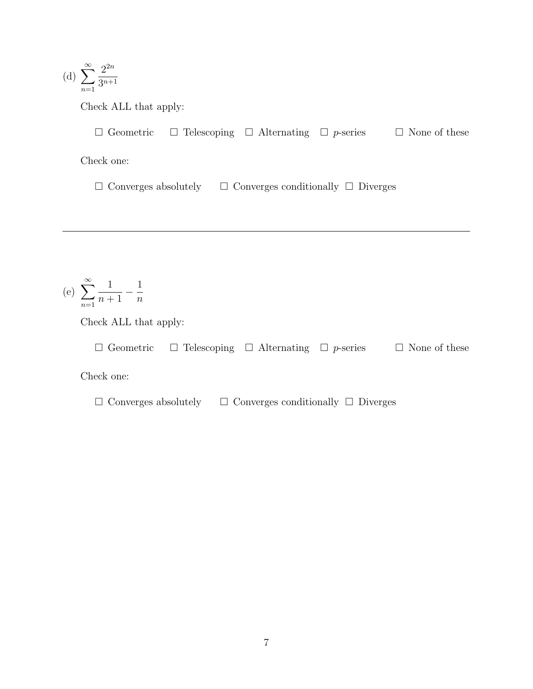(d) 
$$
\sum_{n=1}^{\infty} \frac{2^{2n}}{3^{n+1}}
$$

Check ALL that apply:

 $\Box$  Geometric  $\Box$  Telescoping  $\Box$  Alternating  $\Box$  *p*-series  $\Box$  None of these

Check one:

 $\Box$  Converges absolutely  $\Box$  Converges conditionally  $\Box$  Diverges

(e) 
$$
\sum_{n=1}^{\infty} \frac{1}{n+1} - \frac{1}{n}
$$

Check ALL that apply:

|            | $\Box$ Geometric $\Box$ Telescoping $\Box$ Alternating $\Box$ <i>p</i> -series |  | $\Box$ None of these |
|------------|--------------------------------------------------------------------------------|--|----------------------|
| Check one: |                                                                                |  |                      |

 $\Box$  Converges absolutely  $\Box$  Converges conditionally  $\Box$  Diverges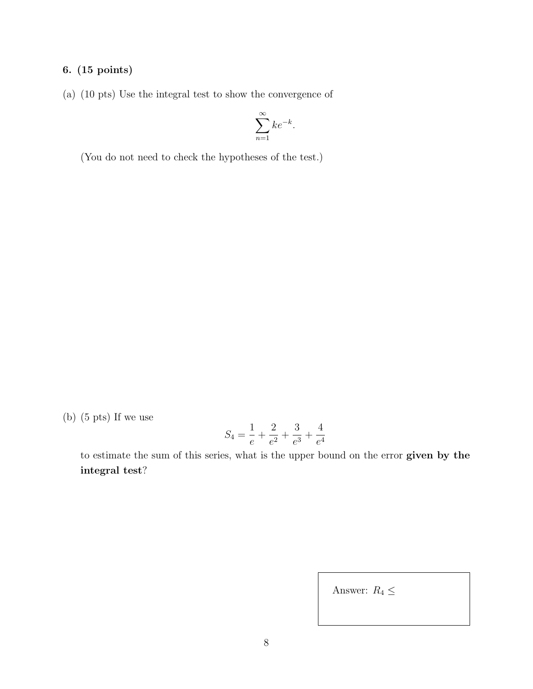#### 6. (15 points)

(a) (10 pts) Use the integral test to show the convergence of

$$
\sum_{n=1}^{\infty} ke^{-k}.
$$

(You do not need to check the hypotheses of the test.)

(b) (5 pts) If we use

$$
S_4 = \frac{1}{e} + \frac{2}{e^2} + \frac{3}{e^3} + \frac{4}{e^4}
$$

to estimate the sum of this series, what is the upper bound on the error given by the integral test?

Answer:  $R_4 \leq$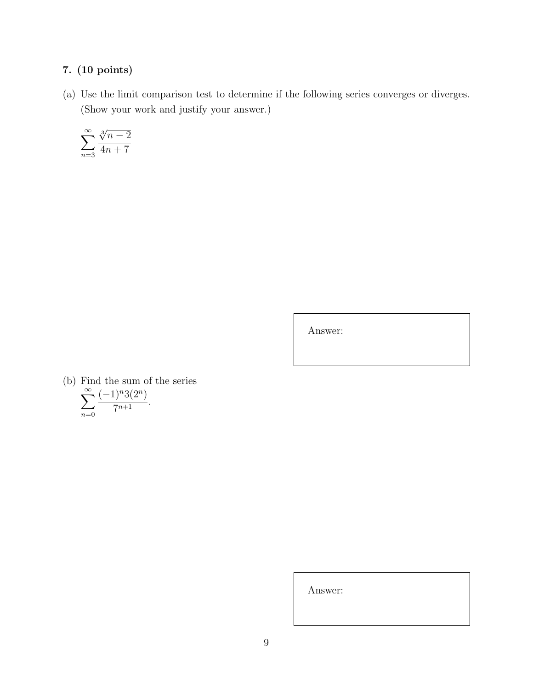### 7. (10 points)

(a) Use the limit comparison test to determine if the following series converges or diverges. (Show your work and justify your answer.)

$$
\sum_{n=3}^{\infty} \frac{\sqrt[3]{n-2}}{4n+7}
$$

(b) Find the sum of the series  $\sum^{\infty}$  $n=0$  $(-1)^{n}3(2^{n})$  $rac{1}{7^{n+1}}$ .

| Answer: |  |  |
|---------|--|--|
|         |  |  |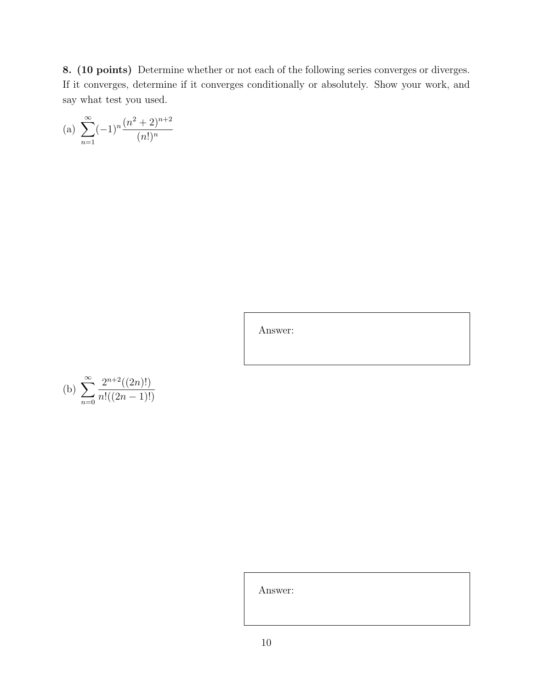8. (10 points) Determine whether or not each of the following series converges or diverges. If it converges, determine if it converges conditionally or absolutely. Show your work, and say what test you used.

(a) 
$$
\sum_{n=1}^{\infty} (-1)^n \frac{(n^2+2)^{n+2}}{(n!)^n}
$$

Answer:

(b) 
$$
\sum_{n=0}^{\infty} \frac{2^{n+2}((2n)!)}{n!((2n-1)!)}
$$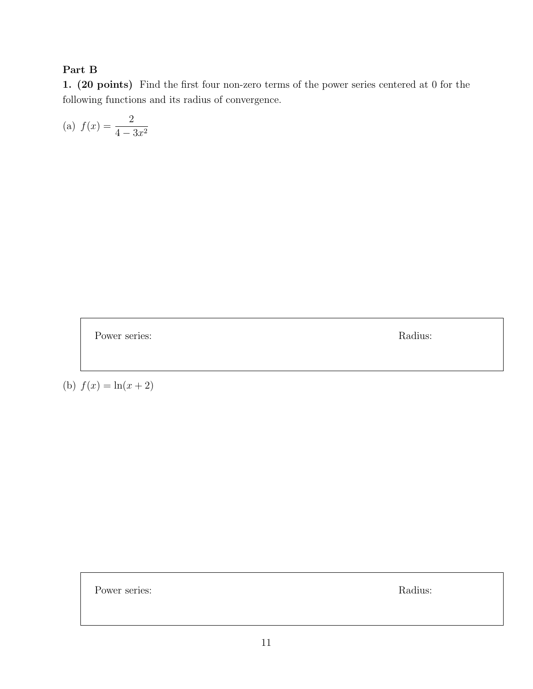#### Part B

1. (20 points) Find the first four non-zero terms of the power series centered at 0 for the following functions and its radius of convergence.

(a) 
$$
f(x) = \frac{2}{4 - 3x^2}
$$

Power series: Radius:

(b)  $f(x) = \ln(x + 2)$ 

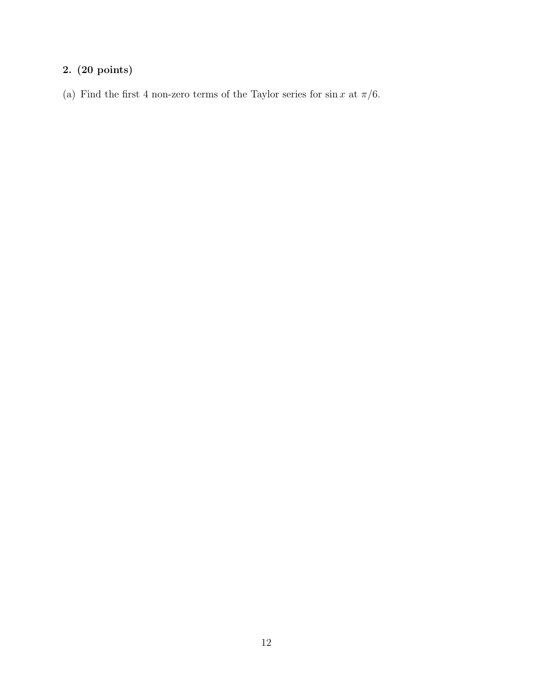# 2. (20 points)

(a) Find the first 4 non-zero terms of the Taylor series for  $\sin x$  at  $\pi/6$ .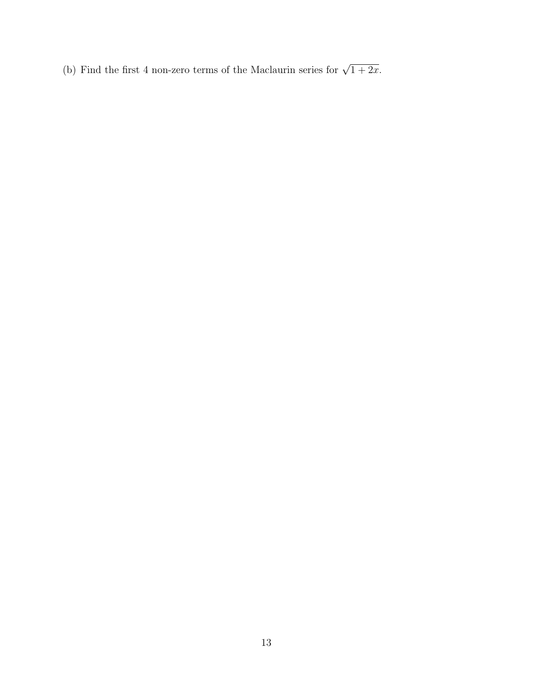(b) Find the first 4 non-zero terms of the Maclaurin series for  $\sqrt{1+2x}$ .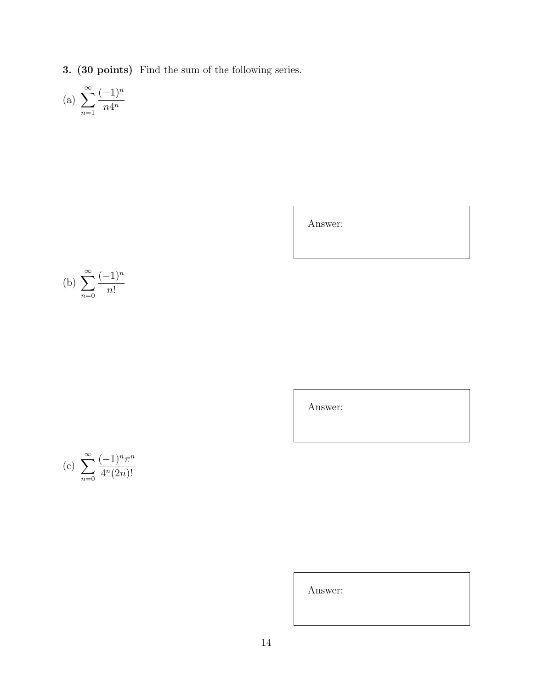3. (30 points) Find the sum of the following series.

(a) 
$$
\sum_{n=1}^{\infty} \frac{(-1)^n}{n4^n}
$$

Answer:



Answer:

(c) 
$$
\sum_{n=0}^{\infty} \frac{(-1)^n \pi^n}{4^n (2n)!}
$$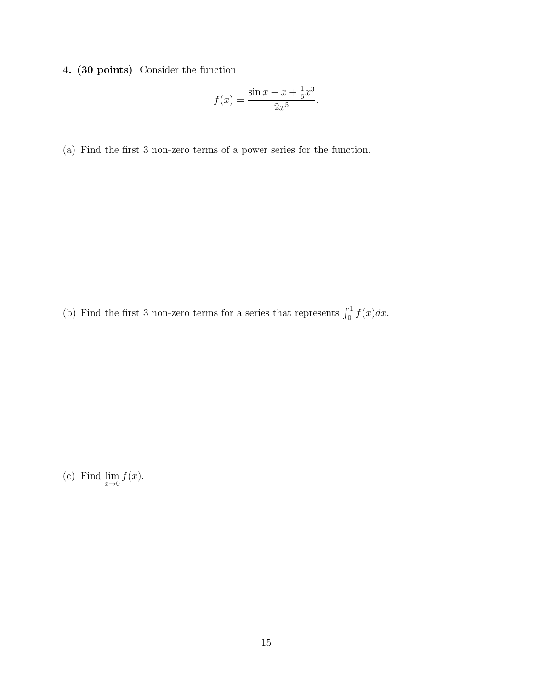4. (30 points) Consider the function

$$
f(x) = \frac{\sin x - x + \frac{1}{6}x^3}{2x^5}.
$$

(a) Find the first 3 non-zero terms of a power series for the function.

(b) Find the first 3 non-zero terms for a series that represents  $\int_0^1 f(x)dx$ .

(c) Find  $\lim_{x\to 0} f(x)$ .